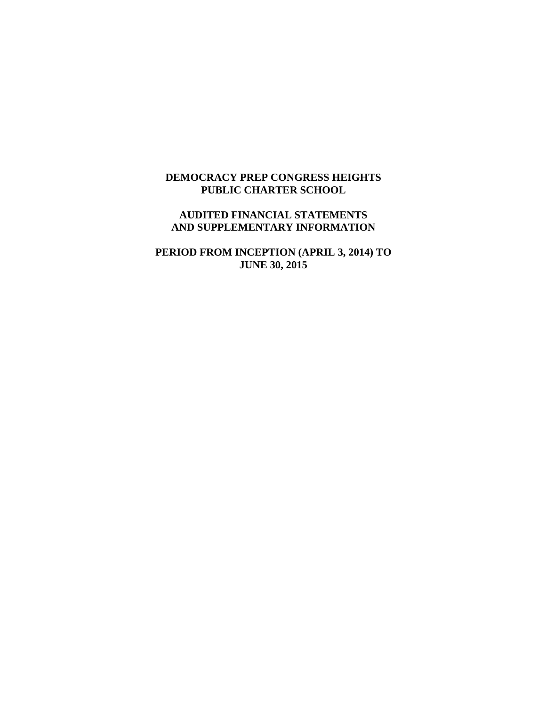# **DEMOCRACY PREP CONGRESS HEIGHTS PUBLIC CHARTER SCHOOL**

# **AUDITED FINANCIAL STATEMENTS AND SUPPLEMENTARY INFORMATION**

**PERIOD FROM INCEPTION (APRIL 3, 2014) TO JUNE 30, 2015**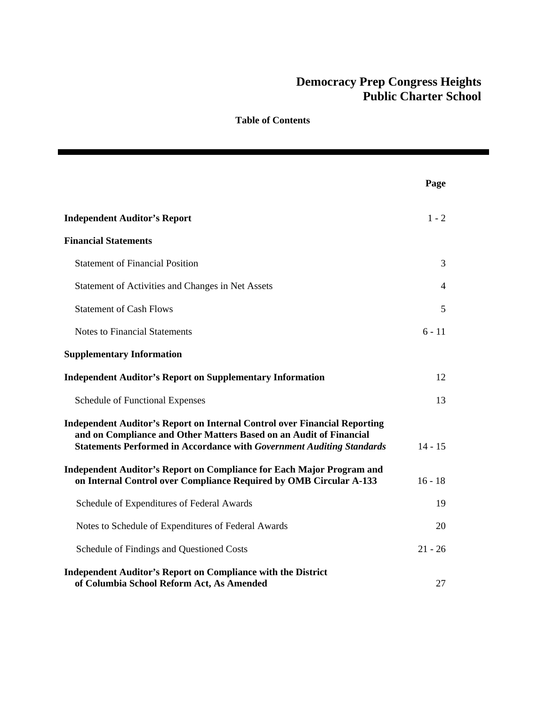|                                                                                                                                                                                                                                        | Page      |
|----------------------------------------------------------------------------------------------------------------------------------------------------------------------------------------------------------------------------------------|-----------|
| <b>Independent Auditor's Report</b>                                                                                                                                                                                                    | $1 - 2$   |
| <b>Financial Statements</b>                                                                                                                                                                                                            |           |
| <b>Statement of Financial Position</b>                                                                                                                                                                                                 | 3         |
| Statement of Activities and Changes in Net Assets                                                                                                                                                                                      | 4         |
| <b>Statement of Cash Flows</b>                                                                                                                                                                                                         | 5         |
| <b>Notes to Financial Statements</b>                                                                                                                                                                                                   | $6 - 11$  |
| <b>Supplementary Information</b>                                                                                                                                                                                                       |           |
| <b>Independent Auditor's Report on Supplementary Information</b>                                                                                                                                                                       | 12        |
| Schedule of Functional Expenses                                                                                                                                                                                                        | 13        |
| <b>Independent Auditor's Report on Internal Control over Financial Reporting</b><br>and on Compliance and Other Matters Based on an Audit of Financial<br><b>Statements Performed in Accordance with Government Auditing Standards</b> | $14 - 15$ |
| Independent Auditor's Report on Compliance for Each Major Program and<br>on Internal Control over Compliance Required by OMB Circular A-133                                                                                            | $16 - 18$ |
| Schedule of Expenditures of Federal Awards                                                                                                                                                                                             | 19        |
| Notes to Schedule of Expenditures of Federal Awards                                                                                                                                                                                    | 20        |
| Schedule of Findings and Questioned Costs                                                                                                                                                                                              | $21 - 26$ |
| <b>Independent Auditor's Report on Compliance with the District</b><br>of Columbia School Reform Act, As Amended                                                                                                                       | 27        |

**Table of Contents**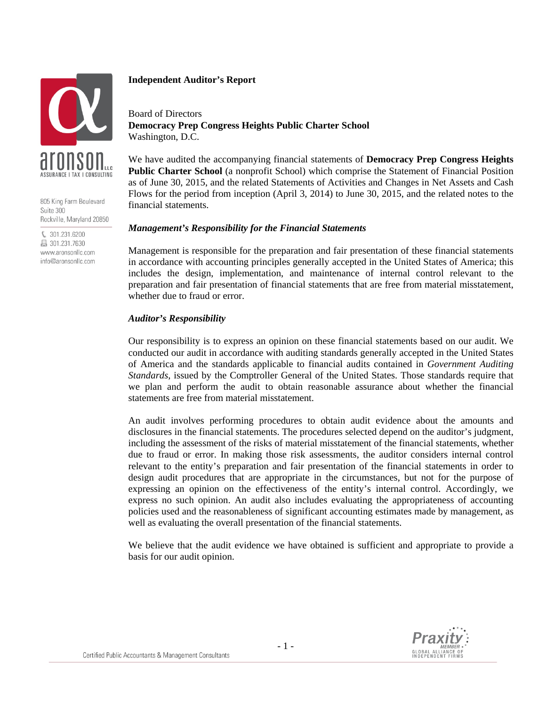

805 King Farm Boulevard Suite 300 Rockville, Maryland 20850

€ 301.231.6200 昌 301.231.7630 www.aronsonllc.com info@aronsonllc.com

### **Independent Auditor's Report**

Board of Directors **Democracy Prep Congress Heights Public Charter School**  Washington, D.C.

We have audited the accompanying financial statements of **Democracy Prep Congress Heights Public Charter School** (a nonprofit School) which comprise the Statement of Financial Position as of June 30, 2015, and the related Statements of Activities and Changes in Net Assets and Cash Flows for the period from inception (April 3, 2014) to June 30, 2015, and the related notes to the financial statements.

### *Management's Responsibility for the Financial Statements*

Management is responsible for the preparation and fair presentation of these financial statements in accordance with accounting principles generally accepted in the United States of America; this includes the design, implementation, and maintenance of internal control relevant to the preparation and fair presentation of financial statements that are free from material misstatement, whether due to fraud or error.

### *Auditor's Responsibility*

Our responsibility is to express an opinion on these financial statements based on our audit. We conducted our audit in accordance with auditing standards generally accepted in the United States of America and the standards applicable to financial audits contained in *Government Auditing Standards*, issued by the Comptroller General of the United States. Those standards require that we plan and perform the audit to obtain reasonable assurance about whether the financial statements are free from material misstatement.

An audit involves performing procedures to obtain audit evidence about the amounts and disclosures in the financial statements. The procedures selected depend on the auditor's judgment, including the assessment of the risks of material misstatement of the financial statements, whether due to fraud or error. In making those risk assessments, the auditor considers internal control relevant to the entity's preparation and fair presentation of the financial statements in order to design audit procedures that are appropriate in the circumstances, but not for the purpose of expressing an opinion on the effectiveness of the entity's internal control. Accordingly, we express no such opinion. An audit also includes evaluating the appropriateness of accounting policies used and the reasonableness of significant accounting estimates made by management, as well as evaluating the overall presentation of the financial statements.

We believe that the audit evidence we have obtained is sufficient and appropriate to provide a basis for our audit opinion.

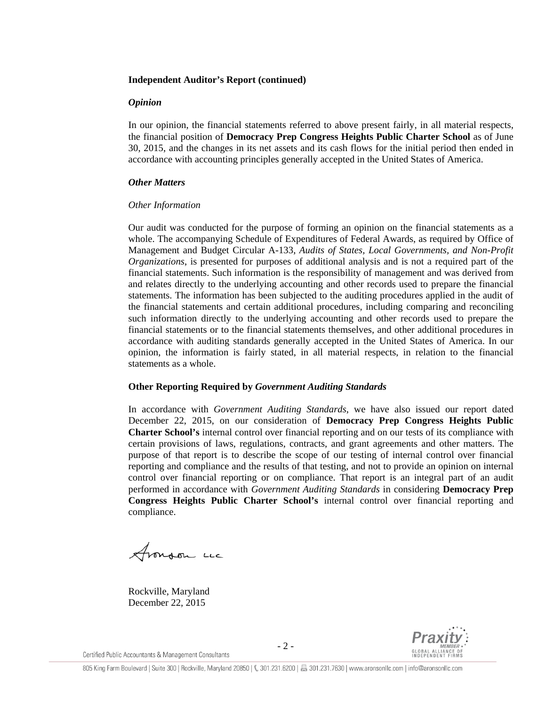### **Independent Auditor's Report (continued)**

#### *Opinion*

In our opinion, the financial statements referred to above present fairly, in all material respects, the financial position of **Democracy Prep Congress Heights Public Charter School** as of June 30, 2015, and the changes in its net assets and its cash flows for the initial period then ended in accordance with accounting principles generally accepted in the United States of America.

### *Other Matters*

### *Other Information*

Our audit was conducted for the purpose of forming an opinion on the financial statements as a whole. The accompanying Schedule of Expenditures of Federal Awards, as required by Office of Management and Budget Circular A-133, *Audits of States, Local Governments, and Non-Profit Organizations*, is presented for purposes of additional analysis and is not a required part of the financial statements. Such information is the responsibility of management and was derived from and relates directly to the underlying accounting and other records used to prepare the financial statements. The information has been subjected to the auditing procedures applied in the audit of the financial statements and certain additional procedures, including comparing and reconciling such information directly to the underlying accounting and other records used to prepare the financial statements or to the financial statements themselves, and other additional procedures in accordance with auditing standards generally accepted in the United States of America. In our opinion, the information is fairly stated, in all material respects, in relation to the financial statements as a whole.

### **Other Reporting Required by** *Government Auditing Standards*

In accordance with *Government Auditing Standards*, we have also issued our report dated December 22, 2015, on our consideration of **Democracy Prep Congress Heights Public Charter School's** internal control over financial reporting and on our tests of its compliance with certain provisions of laws, regulations, contracts, and grant agreements and other matters. The purpose of that report is to describe the scope of our testing of internal control over financial reporting and compliance and the results of that testing, and not to provide an opinion on internal control over financial reporting or on compliance. That report is an integral part of an audit performed in accordance with *Government Auditing Standards* in considering **Democracy Prep Congress Heights Public Charter School's** internal control over financial reporting and compliance.

Aronson Luc

Rockville, Maryland December 22, 2015



Certified Public Accountants & Management Consultants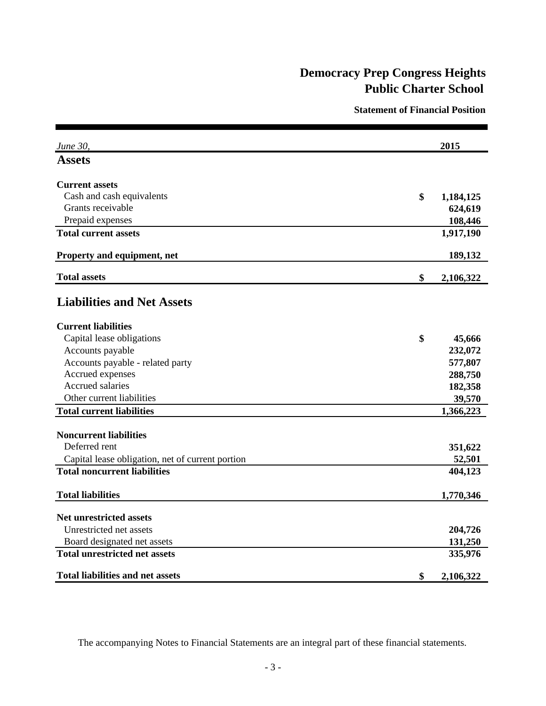**Statement of Financial Position**

| June 30,                                         | 2015            |
|--------------------------------------------------|-----------------|
| <b>Assets</b>                                    |                 |
| <b>Current assets</b>                            |                 |
| Cash and cash equivalents                        | \$<br>1,184,125 |
| Grants receivable                                | 624,619         |
| Prepaid expenses                                 | 108,446         |
| <b>Total current assets</b>                      | 1,917,190       |
| Property and equipment, net                      | 189,132         |
| <b>Total assets</b>                              | \$<br>2,106,322 |
| <b>Liabilities and Net Assets</b>                |                 |
| <b>Current liabilities</b>                       |                 |
| Capital lease obligations                        | \$<br>45,666    |
| Accounts payable                                 | 232,072         |
| Accounts payable - related party                 | 577,807         |
| Accrued expenses                                 | 288,750         |
| Accrued salaries                                 | 182,358         |
| Other current liabilities                        | 39,570          |
| <b>Total current liabilities</b>                 | 1,366,223       |
| <b>Noncurrent liabilities</b>                    |                 |
| Deferred rent                                    | 351,622         |
| Capital lease obligation, net of current portion | 52,501          |
| <b>Total noncurrent liabilities</b>              | 404,123         |
| <b>Total liabilities</b>                         | 1,770,346       |
| <b>Net unrestricted assets</b>                   |                 |
| Unrestricted net assets                          | 204,726         |
| Board designated net assets                      | 131,250         |
| <b>Total unrestricted net assets</b>             | 335,976         |
| <b>Total liabilities and net assets</b>          | \$<br>2,106,322 |

The accompanying Notes to Financial Statements are an integral part of these financial statements.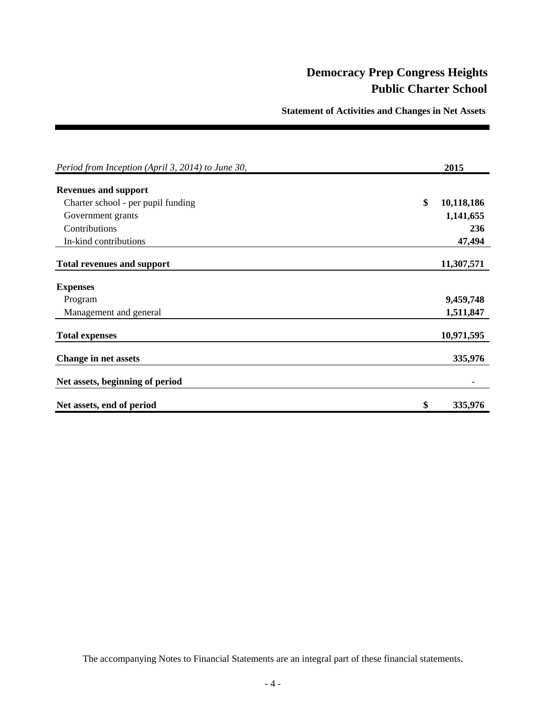**Statement of Activities and Changes in Net Assets** 

| Period from Inception (April 3, 2014) to June 30, | 2015             |
|---------------------------------------------------|------------------|
| <b>Revenues and support</b>                       |                  |
| Charter school - per pupil funding                | \$<br>10,118,186 |
| Government grants                                 | 1,141,655        |
| Contributions                                     | 236              |
| In-kind contributions                             | 47,494           |
| <b>Total revenues and support</b>                 | 11,307,571       |
| <b>Expenses</b>                                   |                  |
| Program                                           | 9,459,748        |
| Management and general                            | 1,511,847        |
| <b>Total expenses</b>                             | 10,971,595       |
| <b>Change in net assets</b>                       | 335,976          |
| Net assets, beginning of period                   |                  |
| Net assets, end of period                         | \$<br>335,976    |

The accompanying Notes to Financial Statements are an integral part of these financial statements.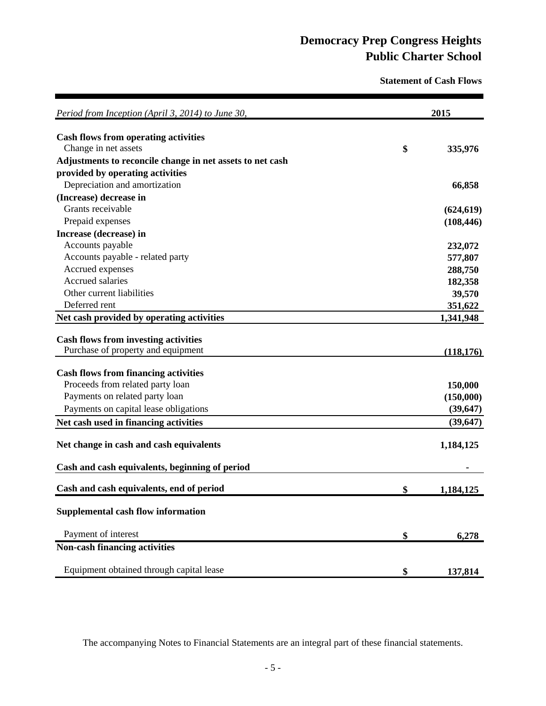**Statement of Cash Flows**

| Period from Inception (April 3, 2014) to June 30,         | 2015            |
|-----------------------------------------------------------|-----------------|
| <b>Cash flows from operating activities</b>               |                 |
| Change in net assets                                      | \$<br>335,976   |
| Adjustments to reconcile change in net assets to net cash |                 |
| provided by operating activities                          |                 |
| Depreciation and amortization                             | 66,858          |
| (Increase) decrease in                                    |                 |
| Grants receivable                                         | (624, 619)      |
| Prepaid expenses                                          | (108, 446)      |
| Increase (decrease) in                                    |                 |
| Accounts payable                                          | 232,072         |
| Accounts payable - related party                          | 577,807         |
| Accrued expenses                                          | 288,750         |
| Accrued salaries                                          | 182,358         |
| Other current liabilities                                 | 39,570          |
| Deferred rent                                             | 351,622         |
| Net cash provided by operating activities                 | 1,341,948       |
|                                                           |                 |
| <b>Cash flows from investing activities</b>               |                 |
| Purchase of property and equipment                        | (118, 176)      |
| <b>Cash flows from financing activities</b>               |                 |
| Proceeds from related party loan                          | 150,000         |
| Payments on related party loan                            | (150,000)       |
| Payments on capital lease obligations                     | (39, 647)       |
| Net cash used in financing activities                     | (39, 647)       |
|                                                           |                 |
| Net change in cash and cash equivalents                   | 1,184,125       |
| Cash and cash equivalents, beginning of period            |                 |
| Cash and cash equivalents, end of period                  | \$<br>1,184,125 |
| <b>Supplemental cash flow information</b>                 |                 |
|                                                           |                 |
| Payment of interest                                       | \$<br>6,278     |
| <b>Non-cash financing activities</b>                      |                 |
| Equipment obtained through capital lease                  |                 |
|                                                           | \$<br>137,814   |

The accompanying Notes to Financial Statements are an integral part of these financial statements.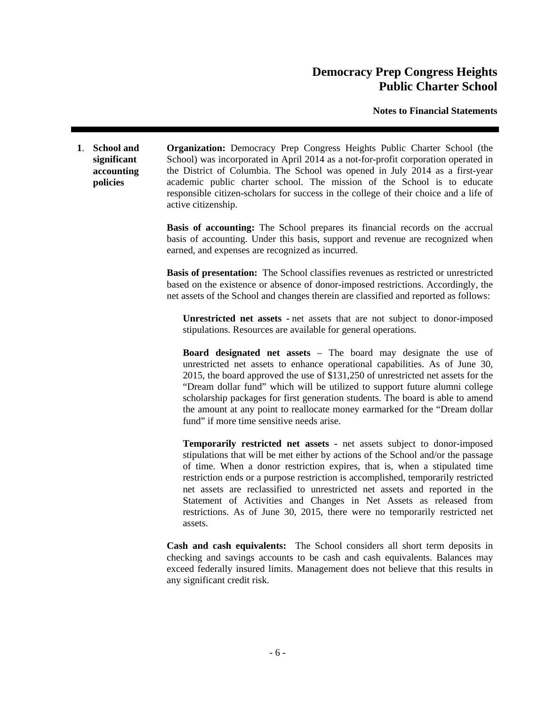**Notes to Financial Statements** 

**1**. **School and significant accounting policies Organization:** Democracy Prep Congress Heights Public Charter School (the School) was incorporated in April 2014 as a not-for-profit corporation operated in the District of Columbia. The School was opened in July 2014 as a first-year academic public charter school. The mission of the School is to educate responsible citizen-scholars for success in the college of their choice and a life of active citizenship.

> **Basis of accounting:** The School prepares its financial records on the accrual basis of accounting. Under this basis, support and revenue are recognized when earned, and expenses are recognized as incurred.

> **Basis of presentation:** The School classifies revenues as restricted or unrestricted based on the existence or absence of donor-imposed restrictions. Accordingly, the net assets of the School and changes therein are classified and reported as follows:

 **Unrestricted net assets -** net assets that are not subject to donor-imposed stipulations. Resources are available for general operations.

**Board designated net assets** – The board may designate the use of unrestricted net assets to enhance operational capabilities. As of June 30, 2015, the board approved the use of \$131,250 of unrestricted net assets for the "Dream dollar fund" which will be utilized to support future alumni college scholarship packages for first generation students. The board is able to amend the amount at any point to reallocate money earmarked for the "Dream dollar fund" if more time sensitive needs arise.

**Temporarily restricted net assets -** net assets subject to donor-imposed stipulations that will be met either by actions of the School and/or the passage of time. When a donor restriction expires, that is, when a stipulated time restriction ends or a purpose restriction is accomplished, temporarily restricted net assets are reclassified to unrestricted net assets and reported in the Statement of Activities and Changes in Net Assets as released from restrictions. As of June 30, 2015, there were no temporarily restricted net assets.

 **Cash and cash equivalents:** The School considers all short term deposits in checking and savings accounts to be cash and cash equivalents. Balances may exceed federally insured limits. Management does not believe that this results in any significant credit risk.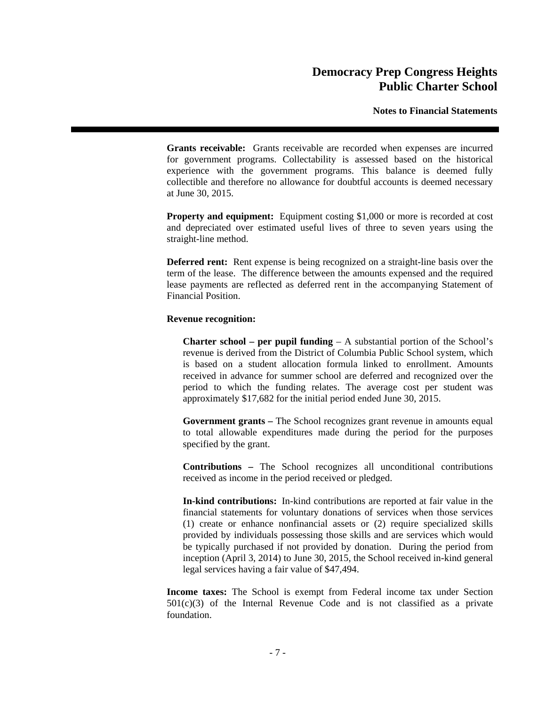**Notes to Financial Statements** 

 **Grants receivable:** Grants receivable are recorded when expenses are incurred for government programs. Collectability is assessed based on the historical experience with the government programs. This balance is deemed fully collectible and therefore no allowance for doubtful accounts is deemed necessary at June 30, 2015.

**Property and equipment:** Equipment costing \$1,000 or more is recorded at cost and depreciated over estimated useful lives of three to seven years using the straight-line method.

 **Deferred rent:** Rent expense is being recognized on a straight-line basis over the term of the lease. The difference between the amounts expensed and the required lease payments are reflected as deferred rent in the accompanying Statement of Financial Position.

### **Revenue recognition:**

**Charter school – per pupil funding** – A substantial portion of the School's revenue is derived from the District of Columbia Public School system, which is based on a student allocation formula linked to enrollment. Amounts received in advance for summer school are deferred and recognized over the period to which the funding relates. The average cost per student was approximately \$17,682 for the initial period ended June 30, 2015.

**Government grants –** The School recognizes grant revenue in amounts equal to total allowable expenditures made during the period for the purposes specified by the grant.

**Contributions –** The School recognizes all unconditional contributions received as income in the period received or pledged.

 **In-kind contributions:** In-kind contributions are reported at fair value in the financial statements for voluntary donations of services when those services (1) create or enhance nonfinancial assets or (2) require specialized skills provided by individuals possessing those skills and are services which would be typically purchased if not provided by donation. During the period from inception (April 3, 2014) to June 30, 2015, the School received in-kind general legal services having a fair value of \$47,494.

 **Income taxes:** The School is exempt from Federal income tax under Section  $501(c)(3)$  of the Internal Revenue Code and is not classified as a private foundation.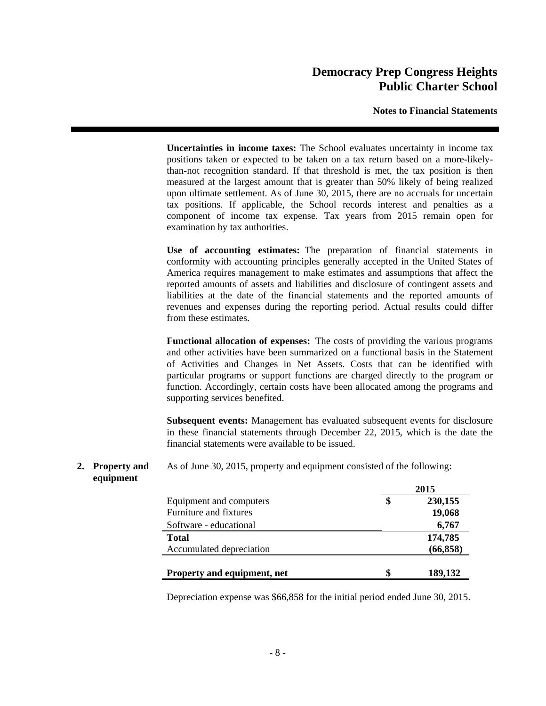**Notes to Financial Statements** 

 **Uncertainties in income taxes:** The School evaluates uncertainty in income tax positions taken or expected to be taken on a tax return based on a more-likelythan-not recognition standard. If that threshold is met, the tax position is then measured at the largest amount that is greater than 50% likely of being realized upon ultimate settlement. As of June 30, 2015, there are no accruals for uncertain tax positions. If applicable, the School records interest and penalties as a component of income tax expense. Tax years from 2015 remain open for examination by tax authorities.

 **Use of accounting estimates:** The preparation of financial statements in conformity with accounting principles generally accepted in the United States of America requires management to make estimates and assumptions that affect the reported amounts of assets and liabilities and disclosure of contingent assets and liabilities at the date of the financial statements and the reported amounts of revenues and expenses during the reporting period. Actual results could differ from these estimates.

 **Functional allocation of expenses:** The costs of providing the various programs and other activities have been summarized on a functional basis in the Statement of Activities and Changes in Net Assets. Costs that can be identified with particular programs or support functions are charged directly to the program or function. Accordingly, certain costs have been allocated among the programs and supporting services benefited.

 **Subsequent events:** Management has evaluated subsequent events for disclosure in these financial statements through December 22, 2015, which is the date the financial statements were available to be issued.

#### **2. Property and equipment**  As of June 30, 2015, property and equipment consisted of the following:

|                             |    | 2015      |  |
|-----------------------------|----|-----------|--|
| Equipment and computers     | S  | 230,155   |  |
| Furniture and fixtures      |    | 19,068    |  |
| Software - educational      |    | 6,767     |  |
| <b>Total</b>                |    | 174,785   |  |
| Accumulated depreciation    |    | (66, 858) |  |
| Property and equipment, net | \$ | 189,132   |  |

Depreciation expense was \$66,858 for the initial period ended June 30, 2015.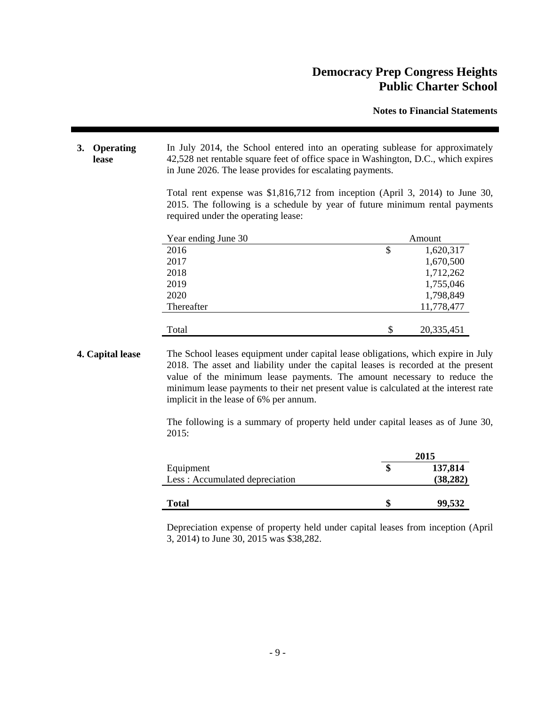**Notes to Financial Statements** 

**3. Operating lease**  In July 2014, the School entered into an operating sublease for approximately 42,528 net rentable square feet of office space in Washington, D.C., which expires in June 2026. The lease provides for escalating payments.

> Total rent expense was \$1,816,712 from inception (April 3, 2014) to June 30, 2015. The following is a schedule by year of future minimum rental payments required under the operating lease:

| Year ending June 30 | Amount           |  |
|---------------------|------------------|--|
| 2016                | \$<br>1,620,317  |  |
| 2017                | 1,670,500        |  |
| 2018                | 1,712,262        |  |
| 2019                | 1,755,046        |  |
| 2020                | 1,798,849        |  |
| Thereafter          | 11,778,477       |  |
|                     |                  |  |
| Total               | \$<br>20,335,451 |  |

**4. Capital lease** The School leases equipment under capital lease obligations, which expire in July 2018. The asset and liability under the capital leases is recorded at the present value of the minimum lease payments. The amount necessary to reduce the minimum lease payments to their net present value is calculated at the interest rate implicit in the lease of 6% per annum.

> The following is a summary of property held under capital leases as of June 30,  $2015:$

|                                | 2015 |           |
|--------------------------------|------|-----------|
| Equipment                      |      | 137,814   |
| Less: Accumulated depreciation |      | (38, 282) |
|                                |      |           |
| <b>Total</b>                   |      | 99,532    |

Depreciation expense of property held under capital leases from inception (April 3, 2014) to June 30, 2015 was \$38,282.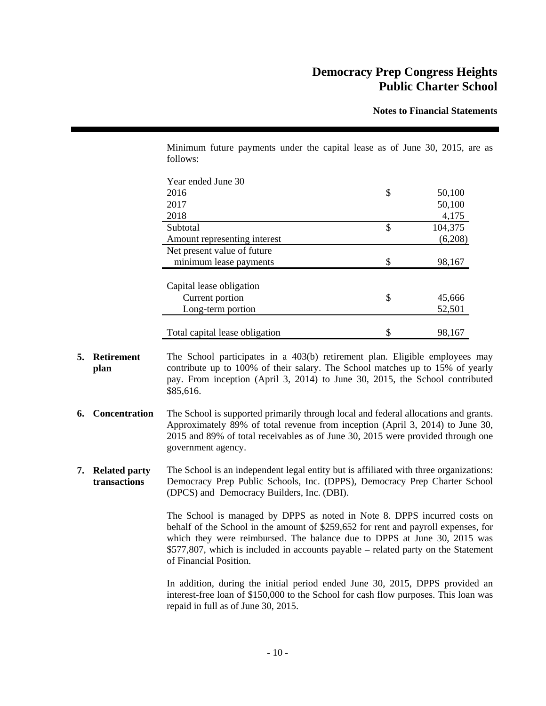**Notes to Financial Statements** 

Minimum future payments under the capital lease as of June 30, 2015, are as follows:

| Year ended June 30             |               |
|--------------------------------|---------------|
| 2016                           | \$<br>50,100  |
| 2017                           | 50,100        |
| 2018                           | 4,175         |
| Subtotal                       | \$<br>104,375 |
| Amount representing interest   | (6,208)       |
| Net present value of future    |               |
| minimum lease payments         | \$<br>98,167  |
| Capital lease obligation       |               |
| Current portion                | \$<br>45,666  |
| Long-term portion              | 52,501        |
|                                |               |
| Total capital lease obligation | \$<br>98.167  |

- **5. Retirement plan**  The School participates in a 403(b) retirement plan. Eligible employees may contribute up to 100% of their salary. The School matches up to 15% of yearly pay. From inception (April 3, 2014) to June 30, 2015, the School contributed \$85,616.
- **6. Concentration** The School is supported primarily through local and federal allocations and grants. Approximately 89% of total revenue from inception (April 3, 2014) to June 30, 2015 and 89% of total receivables as of June 30, 2015 were provided through one government agency.
- **7. Related party transactions**  The School is an independent legal entity but is affiliated with three organizations: Democracy Prep Public Schools, Inc. (DPPS), Democracy Prep Charter School (DPCS) and Democracy Builders, Inc. (DBI).

The School is managed by DPPS as noted in Note 8. DPPS incurred costs on behalf of the School in the amount of \$259,652 for rent and payroll expenses, for which they were reimbursed. The balance due to DPPS at June 30, 2015 was \$577,807, which is included in accounts payable – related party on the Statement of Financial Position.

In addition, during the initial period ended June 30, 2015, DPPS provided an interest-free loan of \$150,000 to the School for cash flow purposes. This loan was repaid in full as of June 30, 2015.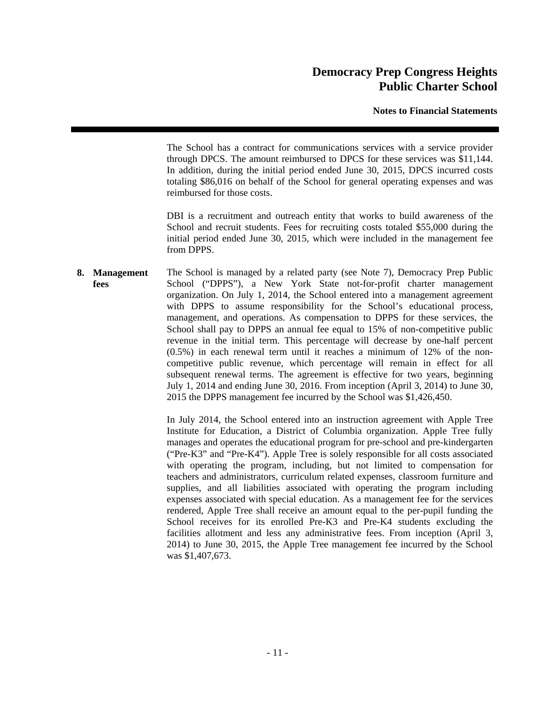### **Notes to Financial Statements**

The School has a contract for communications services with a service provider through DPCS. The amount reimbursed to DPCS for these services was \$11,144. In addition, during the initial period ended June 30, 2015, DPCS incurred costs totaling \$86,016 on behalf of the School for general operating expenses and was reimbursed for those costs.

DBI is a recruitment and outreach entity that works to build awareness of the School and recruit students. Fees for recruiting costs totaled \$55,000 during the initial period ended June 30, 2015, which were included in the management fee from DPPS.

**8. Management fees**  The School is managed by a related party (see Note 7), Democracy Prep Public School ("DPPS"), a New York State not-for-profit charter management organization. On July 1, 2014, the School entered into a management agreement with DPPS to assume responsibility for the School's educational process, management, and operations. As compensation to DPPS for these services, the School shall pay to DPPS an annual fee equal to 15% of non-competitive public revenue in the initial term. This percentage will decrease by one-half percent (0.5%) in each renewal term until it reaches a minimum of 12% of the noncompetitive public revenue, which percentage will remain in effect for all subsequent renewal terms. The agreement is effective for two years, beginning July 1, 2014 and ending June 30, 2016. From inception (April 3, 2014) to June 30, 2015 the DPPS management fee incurred by the School was \$1,426,450.

> In July 2014, the School entered into an instruction agreement with Apple Tree Institute for Education, a District of Columbia organization. Apple Tree fully manages and operates the educational program for pre-school and pre-kindergarten ("Pre-K3" and "Pre-K4"). Apple Tree is solely responsible for all costs associated with operating the program, including, but not limited to compensation for teachers and administrators, curriculum related expenses, classroom furniture and supplies, and all liabilities associated with operating the program including expenses associated with special education. As a management fee for the services rendered, Apple Tree shall receive an amount equal to the per-pupil funding the School receives for its enrolled Pre-K3 and Pre-K4 students excluding the facilities allotment and less any administrative fees. From inception (April 3, 2014) to June 30, 2015, the Apple Tree management fee incurred by the School was \$1,407,673.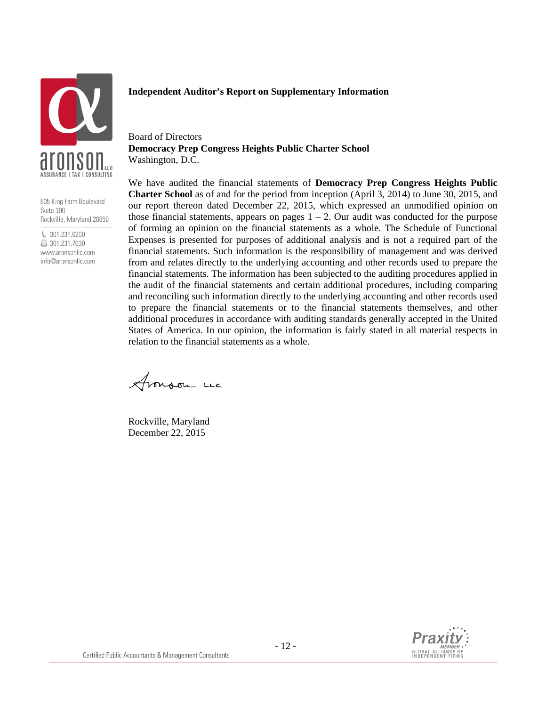

805 King Farm Boulevard Suite 300 Rockville, Maryland 20850

€ 301.231.6200 ■ 301.231.7630 www.aronsonllc.com info@aronsonllc.com

#### **Independent Auditor's Report on Supplementary Information**

Board of Directors **Democracy Prep Congress Heights Public Charter School**  Washington, D.C.

We have audited the financial statements of **Democracy Prep Congress Heights Public Charter School** as of and for the period from inception (April 3, 2014) to June 30, 2015, and our report thereon dated December 22, 2015, which expressed an unmodified opinion on those financial statements, appears on pages  $1 - 2$ . Our audit was conducted for the purpose of forming an opinion on the financial statements as a whole. The Schedule of Functional Expenses is presented for purposes of additional analysis and is not a required part of the financial statements. Such information is the responsibility of management and was derived from and relates directly to the underlying accounting and other records used to prepare the financial statements. The information has been subjected to the auditing procedures applied in the audit of the financial statements and certain additional procedures, including comparing and reconciling such information directly to the underlying accounting and other records used to prepare the financial statements or to the financial statements themselves, and other additional procedures in accordance with auditing standards generally accepted in the United States of America. In our opinion, the information is fairly stated in all material respects in relation to the financial statements as a whole.

Aronson Luc

Rockville, Maryland December 22, 2015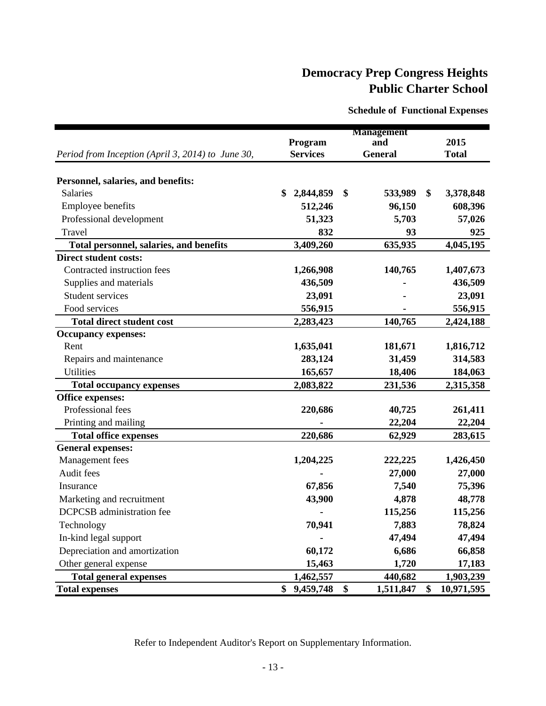**Schedule of Functional Expenses**

|                                                   |                 | <b>Management</b> |                  |
|---------------------------------------------------|-----------------|-------------------|------------------|
|                                                   | Program         | and               | 2015             |
| Period from Inception (April 3, 2014) to June 30, | <b>Services</b> | <b>General</b>    | <b>Total</b>     |
|                                                   |                 |                   |                  |
| Personnel, salaries, and benefits:                |                 |                   |                  |
| <b>Salaries</b>                                   | \$<br>2,844,859 | \$<br>533,989     | \$<br>3,378,848  |
| Employee benefits                                 | 512,246         | 96,150            | 608,396          |
| Professional development                          | 51,323          | 5,703             | 57,026           |
| Travel                                            | 832             | 93                | 925              |
| Total personnel, salaries, and benefits           | 3,409,260       | 635,935           | 4,045,195        |
| <b>Direct student costs:</b>                      |                 |                   |                  |
| Contracted instruction fees                       | 1,266,908       | 140,765           | 1,407,673        |
| Supplies and materials                            | 436,509         |                   | 436,509          |
| <b>Student services</b>                           | 23,091          |                   | 23,091           |
| Food services                                     | 556,915         |                   | 556,915          |
| <b>Total direct student cost</b>                  | 2,283,423       | 140,765           | 2,424,188        |
| <b>Occupancy expenses:</b>                        |                 |                   |                  |
| Rent                                              | 1,635,041       | 181,671           | 1,816,712        |
| Repairs and maintenance                           | 283,124         | 31,459            | 314,583          |
| <b>Utilities</b>                                  | 165,657         | 18,406            | 184,063          |
| <b>Total occupancy expenses</b>                   | 2,083,822       | 231,536           | 2,315,358        |
| <b>Office expenses:</b>                           |                 |                   |                  |
| Professional fees                                 | 220,686         | 40,725            | 261,411          |
| Printing and mailing                              |                 | 22,204            | 22,204           |
| <b>Total office expenses</b>                      | 220,686         | 62,929            | 283,615          |
| <b>General expenses:</b>                          |                 |                   |                  |
| Management fees                                   | 1,204,225       | 222,225           | 1,426,450        |
| Audit fees                                        |                 | 27,000            | 27,000           |
| Insurance                                         | 67,856          | 7,540             | 75,396           |
| Marketing and recruitment                         | 43,900          | 4,878             | 48,778           |
| <b>DCPCSB</b> administration fee                  |                 | 115,256           | 115,256          |
| Technology                                        | 70,941          | 7,883             | 78,824           |
| In-kind legal support                             |                 | 47,494            | 47,494           |
| Depreciation and amortization                     | 60,172          | 6,686             | 66,858           |
| Other general expense                             | 15,463          | 1,720             | 17,183           |
| <b>Total general expenses</b>                     | 1,462,557       | 440,682           | 1,903,239        |
| <b>Total expenses</b>                             | \$9,459,748     | \$<br>1,511,847   | \$<br>10,971,595 |

Refer to Independent Auditor's Report on Supplementary Information.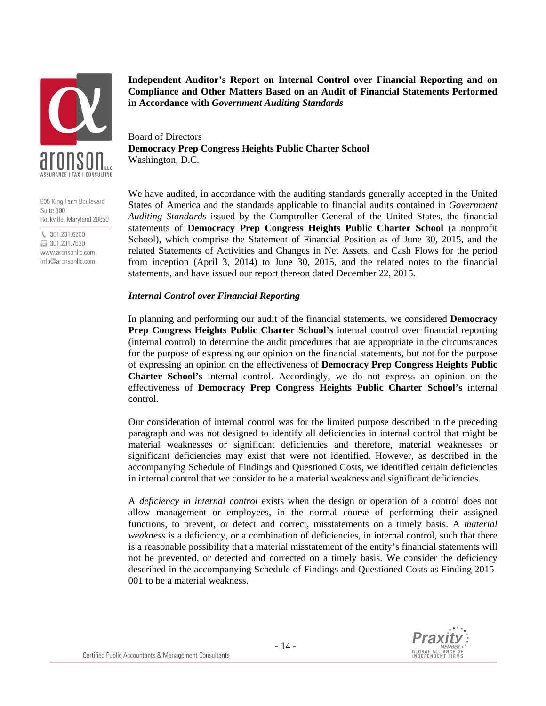

805 King Farm Boulevard Suite 300 Rockville, Maryland 20850

€ 301.231.6200 昌 301.231.7630 www.aronsonllc.com info@aronsonllc.com **Independent Auditor's Report on Internal Control over Financial Reporting and on Compliance and Other Matters Based on an Audit of Financial Statements Performed in Accordance with** *Government Auditing Standards*

Board of Directors **Democracy Prep Congress Heights Public Charter School**  Washington, D.C.

We have audited, in accordance with the auditing standards generally accepted in the United States of America and the standards applicable to financial audits contained in *Government Auditing Standards* issued by the Comptroller General of the United States, the financial statements of **Democracy Prep Congress Heights Public Charter School** (a nonprofit School), which comprise the Statement of Financial Position as of June 30, 2015, and the related Statements of Activities and Changes in Net Assets, and Cash Flows for the period from inception (April 3, 2014) to June 30, 2015, and the related notes to the financial statements, and have issued our report thereon dated December 22, 2015.

### *Internal Control over Financial Reporting*

In planning and performing our audit of the financial statements, we considered **Democracy Prep Congress Heights Public Charter School's** internal control over financial reporting (internal control) to determine the audit procedures that are appropriate in the circumstances for the purpose of expressing our opinion on the financial statements, but not for the purpose of expressing an opinion on the effectiveness of **Democracy Prep Congress Heights Public Charter School's** internal control. Accordingly, we do not express an opinion on the effectiveness of **Democracy Prep Congress Heights Public Charter School's** internal control.

Our consideration of internal control was for the limited purpose described in the preceding paragraph and was not designed to identify all deficiencies in internal control that might be material weaknesses or significant deficiencies and therefore, material weaknesses or significant deficiencies may exist that were not identified. However, as described in the accompanying Schedule of Findings and Questioned Costs, we identified certain deficiencies in internal control that we consider to be a material weakness and significant deficiencies.

A *deficiency in internal control* exists when the design or operation of a control does not allow management or employees, in the normal course of performing their assigned functions, to prevent, or detect and correct, misstatements on a timely basis. A *material weakness* is a deficiency, or a combination of deficiencies, in internal control, such that there is a reasonable possibility that a material misstatement of the entity's financial statements will not be prevented, or detected and corrected on a timely basis. We consider the deficiency described in the accompanying Schedule of Findings and Questioned Costs as Finding 2015- 001 to be a material weakness.

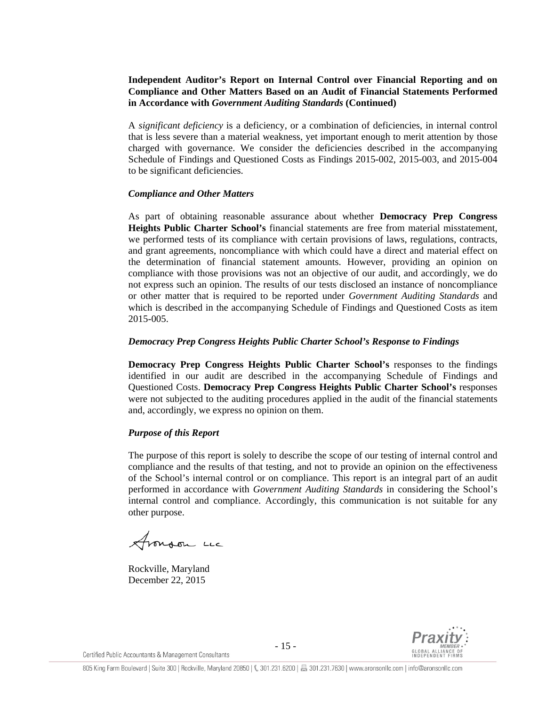# **Independent Auditor's Report on Internal Control over Financial Reporting and on Compliance and Other Matters Based on an Audit of Financial Statements Performed in Accordance with** *Government Auditing Standards* **(Continued)**

A *significant deficiency* is a deficiency, or a combination of deficiencies, in internal control that is less severe than a material weakness, yet important enough to merit attention by those charged with governance. We consider the deficiencies described in the accompanying Schedule of Findings and Questioned Costs as Findings 2015-002, 2015-003, and 2015-004 to be significant deficiencies.

### *Compliance and Other Matters*

As part of obtaining reasonable assurance about whether **Democracy Prep Congress Heights Public Charter School's** financial statements are free from material misstatement, we performed tests of its compliance with certain provisions of laws, regulations, contracts, and grant agreements, noncompliance with which could have a direct and material effect on the determination of financial statement amounts. However, providing an opinion on compliance with those provisions was not an objective of our audit, and accordingly, we do not express such an opinion. The results of our tests disclosed an instance of noncompliance or other matter that is required to be reported under *Government Auditing Standards* and which is described in the accompanying Schedule of Findings and Questioned Costs as item 2015-005.

### *Democracy Prep Congress Heights Public Charter School's Response to Findings*

**Democracy Prep Congress Heights Public Charter School's** responses to the findings identified in our audit are described in the accompanying Schedule of Findings and Questioned Costs. **Democracy Prep Congress Heights Public Charter School's** responses were not subjected to the auditing procedures applied in the audit of the financial statements and, accordingly, we express no opinion on them.

### *Purpose of this Report*

The purpose of this report is solely to describe the scope of our testing of internal control and compliance and the results of that testing, and not to provide an opinion on the effectiveness of the School's internal control or on compliance. This report is an integral part of an audit performed in accordance with *Government Auditing Standards* in considering the School's internal control and compliance. Accordingly, this communication is not suitable for any other purpose.

Aronson un

Rockville, Maryland December 22, 2015

Certified Public Accountants & Management Consultants

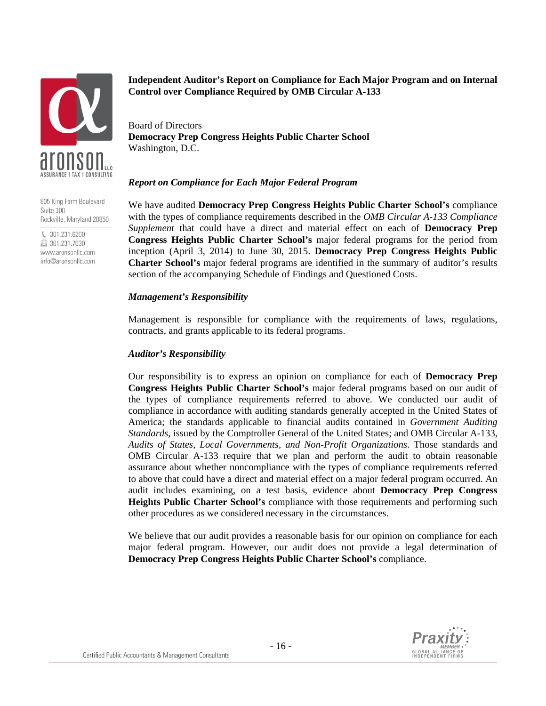

805 King Farm Boulevard Suite 300 Rockville, Maryland 20850

€ 301.231.6200 昌 301.231.7630 www.aronsonllc.com info@aronsonllc.com

# **Independent Auditor's Report on Compliance for Each Major Program and on Internal Control over Compliance Required by OMB Circular A-133**

Board of Directors **Democracy Prep Congress Heights Public Charter School**  Washington, D.C.

### *Report on Compliance for Each Major Federal Program*

We have audited **Democracy Prep Congress Heights Public Charter School's** compliance with the types of compliance requirements described in the *OMB Circular A-133 Compliance Supplement* that could have a direct and material effect on each of **Democracy Prep Congress Heights Public Charter School's** major federal programs for the period from inception (April 3, 2014) to June 30, 2015. **Democracy Prep Congress Heights Public Charter School's** major federal programs are identified in the summary of auditor's results section of the accompanying Schedule of Findings and Questioned Costs.

### *Management's Responsibility*

Management is responsible for compliance with the requirements of laws, regulations, contracts, and grants applicable to its federal programs.

# *Auditor's Responsibility*

Our responsibility is to express an opinion on compliance for each of **Democracy Prep Congress Heights Public Charter School's** major federal programs based on our audit of the types of compliance requirements referred to above. We conducted our audit of compliance in accordance with auditing standards generally accepted in the United States of America; the standards applicable to financial audits contained in *Government Auditing Standards*, issued by the Comptroller General of the United States; and OMB Circular A-133, *Audits of States, Local Governments, and Non-Profit Organizations*. Those standards and OMB Circular A-133 require that we plan and perform the audit to obtain reasonable assurance about whether noncompliance with the types of compliance requirements referred to above that could have a direct and material effect on a major federal program occurred. An audit includes examining, on a test basis, evidence about **Democracy Prep Congress Heights Public Charter School's** compliance with those requirements and performing such other procedures as we considered necessary in the circumstances.

We believe that our audit provides a reasonable basis for our opinion on compliance for each major federal program. However, our audit does not provide a legal determination of **Democracy Prep Congress Heights Public Charter School's** compliance.

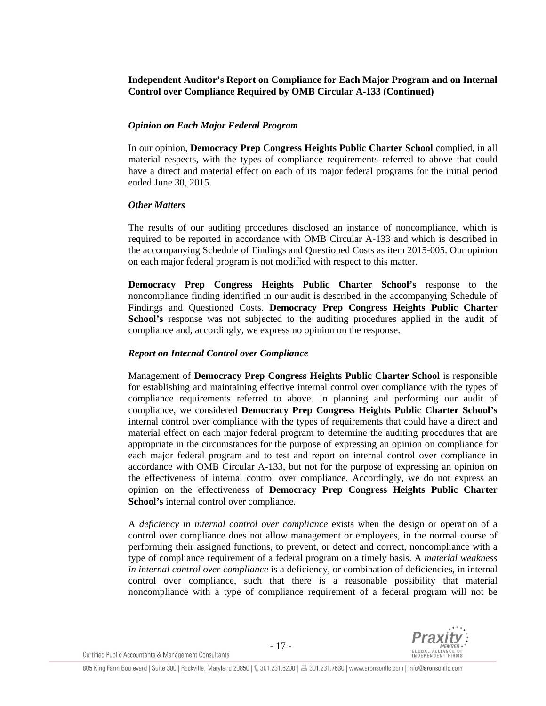# **Independent Auditor's Report on Compliance for Each Major Program and on Internal Control over Compliance Required by OMB Circular A-133 (Continued)**

# *Opinion on Each Major Federal Program*

In our opinion, **Democracy Prep Congress Heights Public Charter School** complied, in all material respects, with the types of compliance requirements referred to above that could have a direct and material effect on each of its major federal programs for the initial period ended June 30, 2015.

### *Other Matters*

The results of our auditing procedures disclosed an instance of noncompliance, which is required to be reported in accordance with OMB Circular A-133 and which is described in the accompanying Schedule of Findings and Questioned Costs as item 2015-005. Our opinion on each major federal program is not modified with respect to this matter.

**Democracy Prep Congress Heights Public Charter School's** response to the noncompliance finding identified in our audit is described in the accompanying Schedule of Findings and Questioned Costs. **Democracy Prep Congress Heights Public Charter**  School's response was not subjected to the auditing procedures applied in the audit of compliance and, accordingly, we express no opinion on the response.

### *Report on Internal Control over Compliance*

Management of **Democracy Prep Congress Heights Public Charter School** is responsible for establishing and maintaining effective internal control over compliance with the types of compliance requirements referred to above. In planning and performing our audit of compliance, we considered **Democracy Prep Congress Heights Public Charter School's** internal control over compliance with the types of requirements that could have a direct and material effect on each major federal program to determine the auditing procedures that are appropriate in the circumstances for the purpose of expressing an opinion on compliance for each major federal program and to test and report on internal control over compliance in accordance with OMB Circular A-133, but not for the purpose of expressing an opinion on the effectiveness of internal control over compliance. Accordingly, we do not express an opinion on the effectiveness of **Democracy Prep Congress Heights Public Charter School's** internal control over compliance.

A *deficiency in internal control over compliance* exists when the design or operation of a control over compliance does not allow management or employees, in the normal course of performing their assigned functions, to prevent, or detect and correct, noncompliance with a type of compliance requirement of a federal program on a timely basis. A *material weakness in internal control over compliance* is a deficiency, or combination of deficiencies, in internal control over compliance, such that there is a reasonable possibility that material noncompliance with a type of compliance requirement of a federal program will not be

Certified Public Accountants & Management Consultants

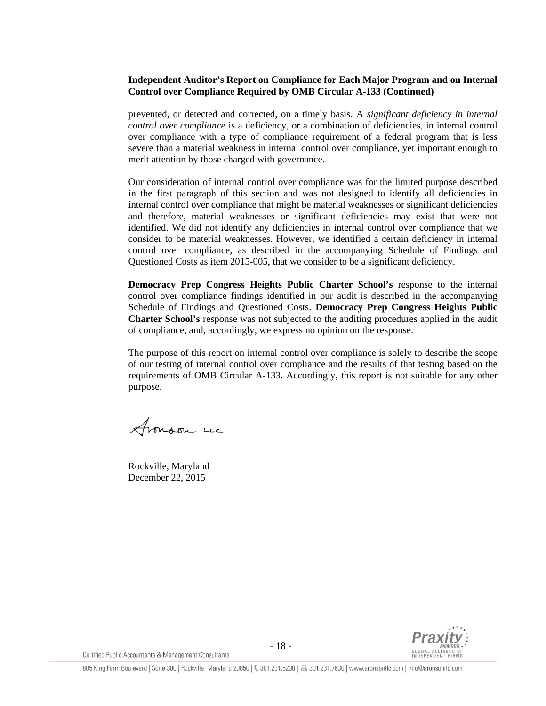# **Independent Auditor's Report on Compliance for Each Major Program and on Internal Control over Compliance Required by OMB Circular A-133 (Continued)**

prevented, or detected and corrected, on a timely basis. A *significant deficiency in internal control over compliance* is a deficiency, or a combination of deficiencies, in internal control over compliance with a type of compliance requirement of a federal program that is less severe than a material weakness in internal control over compliance, yet important enough to merit attention by those charged with governance.

Our consideration of internal control over compliance was for the limited purpose described in the first paragraph of this section and was not designed to identify all deficiencies in internal control over compliance that might be material weaknesses or significant deficiencies and therefore, material weaknesses or significant deficiencies may exist that were not identified. We did not identify any deficiencies in internal control over compliance that we consider to be material weaknesses. However, we identified a certain deficiency in internal control over compliance, as described in the accompanying Schedule of Findings and Questioned Costs as item 2015-005, that we consider to be a significant deficiency.

**Democracy Prep Congress Heights Public Charter School's** response to the internal control over compliance findings identified in our audit is described in the accompanying Schedule of Findings and Questioned Costs. **Democracy Prep Congress Heights Public Charter School's** response was not subjected to the auditing procedures applied in the audit of compliance, and, accordingly, we express no opinion on the response.

The purpose of this report on internal control over compliance is solely to describe the scope of our testing of internal control over compliance and the results of that testing based on the requirements of OMB Circular A-133. Accordingly, this report is not suitable for any other purpose.

Aronson un

Rockville, Maryland December 22, 2015



Certified Public Accountants & Management Consultants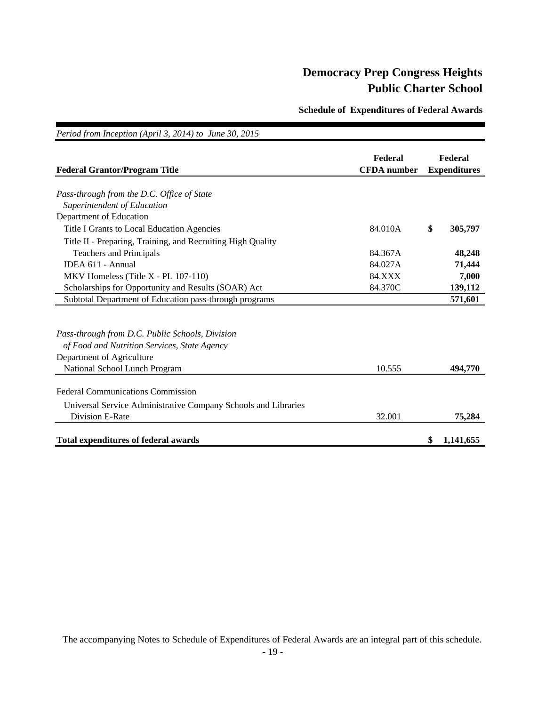**Schedule of Expenditures of Federal Awards**

| Period from Inception (April 3, 2014) to June 30, 2015         |                               |                                |
|----------------------------------------------------------------|-------------------------------|--------------------------------|
| <b>Federal Grantor/Program Title</b>                           | Federal<br><b>CFDA</b> number | Federal<br><b>Expenditures</b> |
| Pass-through from the D.C. Office of State                     |                               |                                |
| Superintendent of Education                                    |                               |                                |
| Department of Education                                        |                               |                                |
| Title I Grants to Local Education Agencies                     | 84.010A                       | \$<br>305,797                  |
| Title II - Preparing, Training, and Recruiting High Quality    |                               |                                |
| <b>Teachers and Principals</b>                                 | 84.367A                       | 48,248                         |
| IDEA 611 - Annual                                              | 84.027A                       | 71,444                         |
| MKV Homeless (Title X - PL 107-110)                            | <b>84.XXX</b>                 | 7,000                          |
| Scholarships for Opportunity and Results (SOAR) Act            | 84.370C                       | 139,112                        |
| Subtotal Department of Education pass-through programs         |                               | 571,601                        |
| Pass-through from D.C. Public Schools, Division                |                               |                                |
| of Food and Nutrition Services, State Agency                   |                               |                                |
| Department of Agriculture                                      |                               |                                |
| National School Lunch Program                                  | 10.555                        | 494,770                        |
| <b>Federal Communications Commission</b>                       |                               |                                |
| Universal Service Administrative Company Schools and Libraries |                               |                                |
| Division E-Rate                                                | 32.001                        | 75,284                         |
| <b>Total expenditures of federal awards</b>                    |                               | \$<br>1,141,655                |

The accompanying Notes to Schedule of Expenditures of Federal Awards are an integral part of this schedule.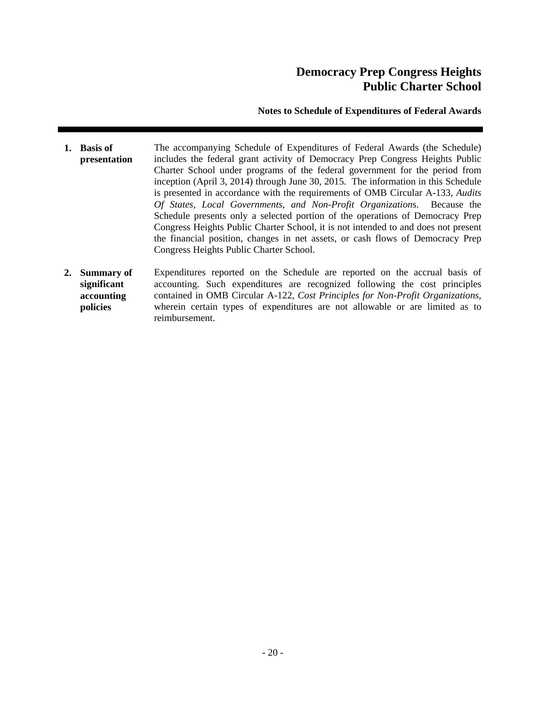# **Notes to Schedule of Expenditures of Federal Awards**

- **1. Basis of presentation**  The accompanying Schedule of Expenditures of Federal Awards (the Schedule) includes the federal grant activity of Democracy Prep Congress Heights Public Charter School under programs of the federal government for the period from inception (April 3, 2014) through June 30, 2015. The information in this Schedule is presented in accordance with the requirements of OMB Circular A-133, *Audits Of States, Local Governments, and Non-Profit Organization*s. Because the Schedule presents only a selected portion of the operations of Democracy Prep Congress Heights Public Charter School, it is not intended to and does not present the financial position, changes in net assets, or cash flows of Democracy Prep Congress Heights Public Charter School.
- **2. Summary of significant accounting policies**  Expenditures reported on the Schedule are reported on the accrual basis of accounting. Such expenditures are recognized following the cost principles contained in OMB Circular A-122, *Cost Principles for Non-Profit Organizations*, wherein certain types of expenditures are not allowable or are limited as to reimbursement.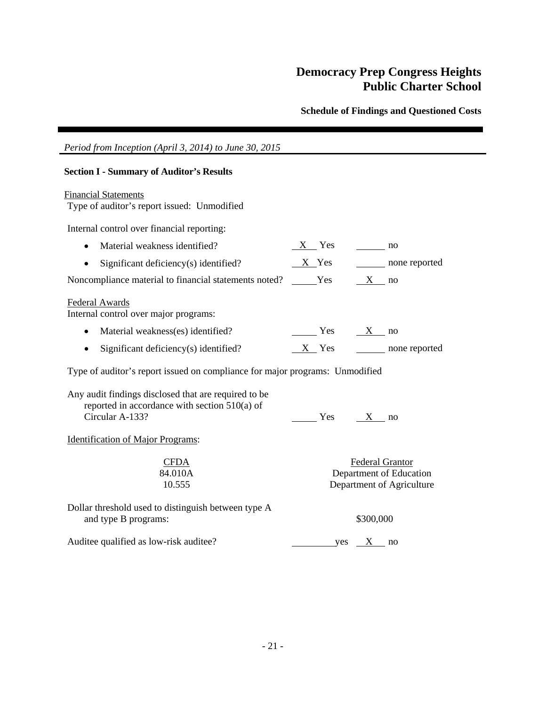**Schedule of Findings and Questioned Costs** 

| Period from Inception (April 3, 2014) to June 30, 2015                                                                     |                                                                                |
|----------------------------------------------------------------------------------------------------------------------------|--------------------------------------------------------------------------------|
| <b>Section I - Summary of Auditor's Results</b>                                                                            |                                                                                |
| <b>Financial Statements</b><br>Type of auditor's report issued: Unmodified                                                 |                                                                                |
| Internal control over financial reporting:                                                                                 |                                                                                |
| Material weakness identified?                                                                                              |                                                                                |
| Significant deficiency(s) identified?<br>$\bullet$                                                                         | $X$ Yes none reported                                                          |
| Noncompliance material to financial statements noted?                                                                      | $Yes$ X no                                                                     |
| Federal Awards<br>Internal control over major programs:                                                                    |                                                                                |
| Material weakness(es) identified?<br>$\bullet$                                                                             | $\frac{X}{X}$ no                                                               |
| Significant deficiency(s) identified?<br>$\bullet$                                                                         | $X$ Yes none reported                                                          |
| Type of auditor's report issued on compliance for major programs: Unmodified                                               |                                                                                |
| Any audit findings disclosed that are required to be<br>reported in accordance with section $510(a)$ of<br>Circular A-133? | $Yes$ X no                                                                     |
| <b>Identification of Major Programs:</b>                                                                                   |                                                                                |
| <b>CFDA</b><br>84.010A<br>10.555                                                                                           | <b>Federal Grantor</b><br>Department of Education<br>Department of Agriculture |
| Dollar threshold used to distinguish between type A<br>and type B programs:                                                | \$300,000                                                                      |
| Auditee qualified as low-risk auditee?                                                                                     | $yes$ $X$ no                                                                   |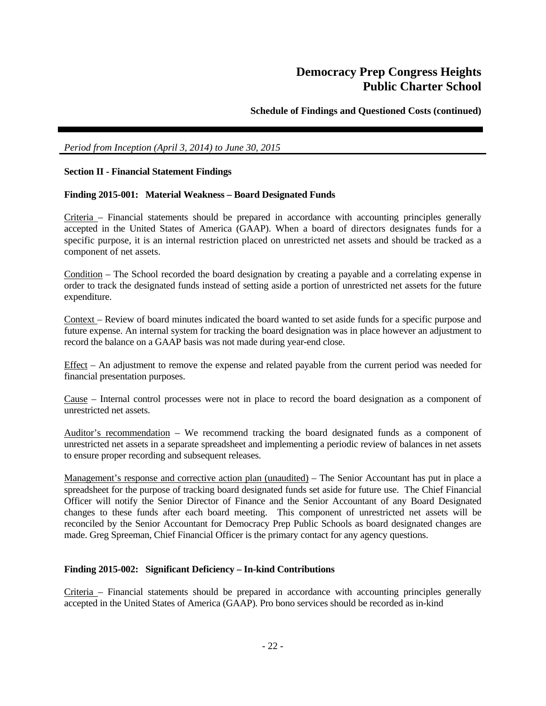**Schedule of Findings and Questioned Costs (continued)** 

### *Period from Inception (April 3, 2014) to June 30, 2015*

### **Section II - Financial Statement Findings**

### **Finding 2015-001: Material Weakness – Board Designated Funds**

Criteria – Financial statements should be prepared in accordance with accounting principles generally accepted in the United States of America (GAAP). When a board of directors designates funds for a specific purpose, it is an internal restriction placed on unrestricted net assets and should be tracked as a component of net assets.

Condition – The School recorded the board designation by creating a payable and a correlating expense in order to track the designated funds instead of setting aside a portion of unrestricted net assets for the future expenditure.

Context – Review of board minutes indicated the board wanted to set aside funds for a specific purpose and future expense. An internal system for tracking the board designation was in place however an adjustment to record the balance on a GAAP basis was not made during year-end close.

Effect – An adjustment to remove the expense and related payable from the current period was needed for financial presentation purposes.

Cause – Internal control processes were not in place to record the board designation as a component of unrestricted net assets.

Auditor's recommendation – We recommend tracking the board designated funds as a component of unrestricted net assets in a separate spreadsheet and implementing a periodic review of balances in net assets to ensure proper recording and subsequent releases.

Management's response and corrective action plan (unaudited) – The Senior Accountant has put in place a spreadsheet for the purpose of tracking board designated funds set aside for future use. The Chief Financial Officer will notify the Senior Director of Finance and the Senior Accountant of any Board Designated changes to these funds after each board meeting. This component of unrestricted net assets will be reconciled by the Senior Accountant for Democracy Prep Public Schools as board designated changes are made. Greg Spreeman, Chief Financial Officer is the primary contact for any agency questions.

#### **Finding 2015-002: Significant Deficiency – In-kind Contributions**

Criteria – Financial statements should be prepared in accordance with accounting principles generally accepted in the United States of America (GAAP). Pro bono services should be recorded as in-kind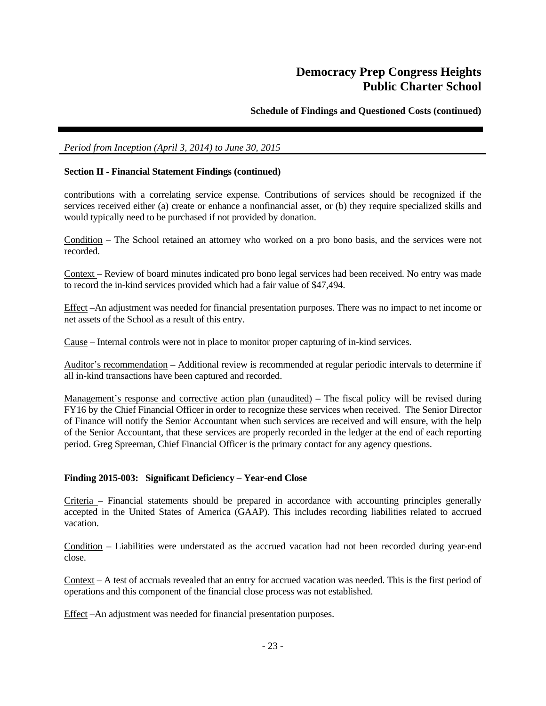# **Schedule of Findings and Questioned Costs (continued)**

### *Period from Inception (April 3, 2014) to June 30, 2015*

### **Section II - Financial Statement Findings (continued)**

contributions with a correlating service expense. Contributions of services should be recognized if the services received either (a) create or enhance a nonfinancial asset, or (b) they require specialized skills and would typically need to be purchased if not provided by donation.

Condition – The School retained an attorney who worked on a pro bono basis, and the services were not recorded.

Context – Review of board minutes indicated pro bono legal services had been received. No entry was made to record the in-kind services provided which had a fair value of \$47,494.

Effect –An adjustment was needed for financial presentation purposes. There was no impact to net income or net assets of the School as a result of this entry.

Cause – Internal controls were not in place to monitor proper capturing of in-kind services.

Auditor's recommendation – Additional review is recommended at regular periodic intervals to determine if all in-kind transactions have been captured and recorded.

Management's response and corrective action plan (unaudited) – The fiscal policy will be revised during FY16 by the Chief Financial Officer in order to recognize these services when received. The Senior Director of Finance will notify the Senior Accountant when such services are received and will ensure, with the help of the Senior Accountant, that these services are properly recorded in the ledger at the end of each reporting period. Greg Spreeman, Chief Financial Officer is the primary contact for any agency questions.

### **Finding 2015-003: Significant Deficiency – Year-end Close**

Criteria – Financial statements should be prepared in accordance with accounting principles generally accepted in the United States of America (GAAP). This includes recording liabilities related to accrued vacation.

Condition – Liabilities were understated as the accrued vacation had not been recorded during year-end close.

Context – A test of accruals revealed that an entry for accrued vacation was needed. This is the first period of operations and this component of the financial close process was not established.

Effect –An adjustment was needed for financial presentation purposes.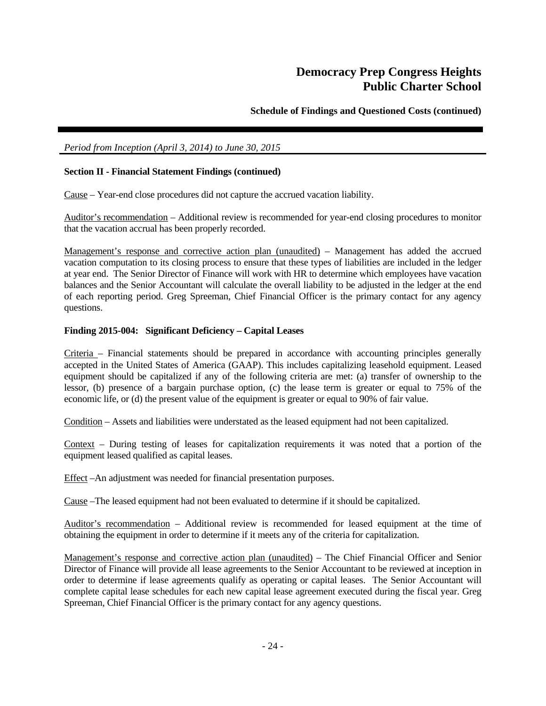**Schedule of Findings and Questioned Costs (continued)** 

# *Period from Inception (April 3, 2014) to June 30, 2015*

# **Section II - Financial Statement Findings (continued)**

Cause – Year-end close procedures did not capture the accrued vacation liability.

Auditor's recommendation – Additional review is recommended for year-end closing procedures to monitor that the vacation accrual has been properly recorded.

Management's response and corrective action plan (unaudited) – Management has added the accrued vacation computation to its closing process to ensure that these types of liabilities are included in the ledger at year end. The Senior Director of Finance will work with HR to determine which employees have vacation balances and the Senior Accountant will calculate the overall liability to be adjusted in the ledger at the end of each reporting period. Greg Spreeman, Chief Financial Officer is the primary contact for any agency questions.

### **Finding 2015-004: Significant Deficiency – Capital Leases**

Criteria – Financial statements should be prepared in accordance with accounting principles generally accepted in the United States of America (GAAP). This includes capitalizing leasehold equipment. Leased equipment should be capitalized if any of the following criteria are met: (a) transfer of ownership to the lessor, (b) presence of a bargain purchase option, (c) the lease term is greater or equal to 75% of the economic life, or (d) the present value of the equipment is greater or equal to 90% of fair value.

Condition – Assets and liabilities were understated as the leased equipment had not been capitalized.

Context – During testing of leases for capitalization requirements it was noted that a portion of the equipment leased qualified as capital leases.

Effect –An adjustment was needed for financial presentation purposes.

Cause –The leased equipment had not been evaluated to determine if it should be capitalized.

Auditor's recommendation – Additional review is recommended for leased equipment at the time of obtaining the equipment in order to determine if it meets any of the criteria for capitalization.

Management's response and corrective action plan (unaudited) – The Chief Financial Officer and Senior Director of Finance will provide all lease agreements to the Senior Accountant to be reviewed at inception in order to determine if lease agreements qualify as operating or capital leases. The Senior Accountant will complete capital lease schedules for each new capital lease agreement executed during the fiscal year. Greg Spreeman, Chief Financial Officer is the primary contact for any agency questions.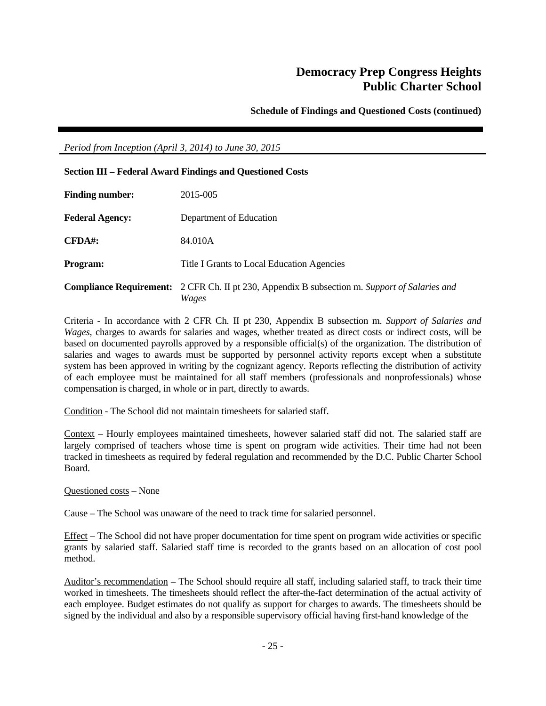**Schedule of Findings and Questioned Costs (continued)** 

*Period from Inception (April 3, 2014) to June 30, 2015* 

| <b>Section III - Federal Award Findings and Questioned Costs</b> |                                                                                                               |
|------------------------------------------------------------------|---------------------------------------------------------------------------------------------------------------|
| <b>Finding number:</b>                                           | 2015-005                                                                                                      |
| <b>Federal Agency:</b>                                           | Department of Education                                                                                       |
| <b>CFDA#:</b>                                                    | 84.010A                                                                                                       |
| <b>Program:</b>                                                  | Title I Grants to Local Education Agencies                                                                    |
|                                                                  | <b>Compliance Requirement:</b> 2 CFR Ch. II pt 230, Appendix B subsection m. Support of Salaries and<br>Wages |

Criteria - In accordance with 2 CFR Ch. II pt 230, Appendix B subsection m. *Support of Salaries and Wages,* charges to awards for salaries and wages, whether treated as direct costs or indirect costs, will be based on documented payrolls approved by a responsible official(s) of the organization. The distribution of salaries and wages to awards must be supported by personnel activity reports except when a substitute system has been approved in writing by the cognizant agency. Reports reflecting the distribution of activity of each employee must be maintained for all staff members (professionals and nonprofessionals) whose compensation is charged, in whole or in part, directly to awards.

Condition - The School did not maintain timesheets for salaried staff.

Context – Hourly employees maintained timesheets, however salaried staff did not. The salaried staff are largely comprised of teachers whose time is spent on program wide activities. Their time had not been tracked in timesheets as required by federal regulation and recommended by the D.C. Public Charter School Board.

Questioned costs – None

Cause – The School was unaware of the need to track time for salaried personnel.

Effect – The School did not have proper documentation for time spent on program wide activities or specific grants by salaried staff. Salaried staff time is recorded to the grants based on an allocation of cost pool method.

Auditor's recommendation – The School should require all staff, including salaried staff, to track their time worked in timesheets. The timesheets should reflect the after-the-fact determination of the actual activity of each employee. Budget estimates do not qualify as support for charges to awards. The timesheets should be signed by the individual and also by a responsible supervisory official having first-hand knowledge of the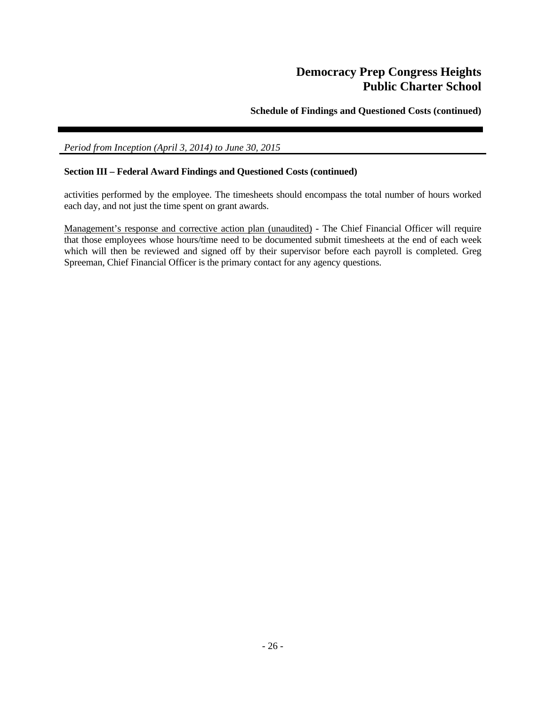**Schedule of Findings and Questioned Costs (continued)** 

# *Period from Inception (April 3, 2014) to June 30, 2015*

# **Section III – Federal Award Findings and Questioned Costs (continued)**

activities performed by the employee. The timesheets should encompass the total number of hours worked each day, and not just the time spent on grant awards.

Management's response and corrective action plan (unaudited) - The Chief Financial Officer will require that those employees whose hours/time need to be documented submit timesheets at the end of each week which will then be reviewed and signed off by their supervisor before each payroll is completed. Greg Spreeman, Chief Financial Officer is the primary contact for any agency questions.